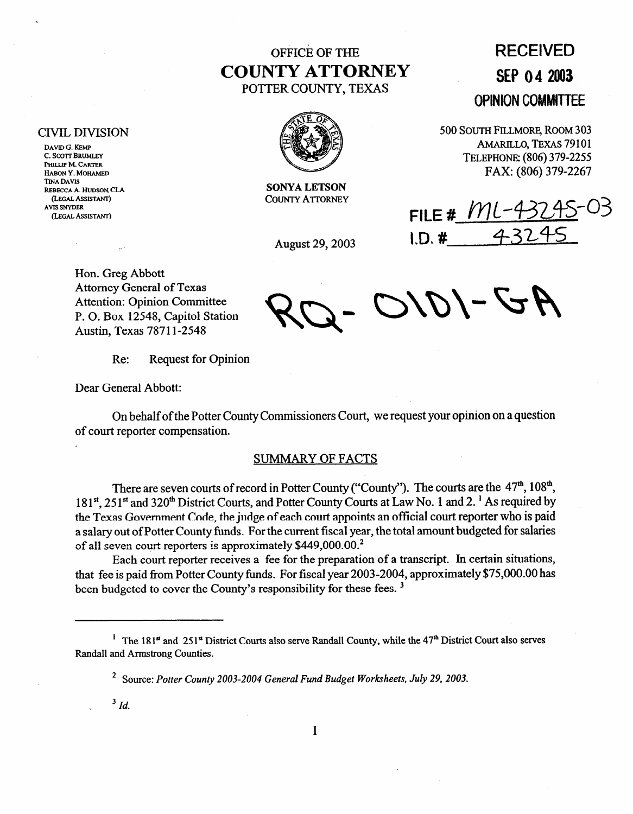# OFFICE OF THE **COUNTY ATTORNEY**  POTTER COUNTY, TEXAS



**SONYA LETSON COUNTY ATTORNEY** 

August 29,2003

**RECEIVED SEP 04** 2003

**OPINION COMMITTEE** 

**~OOSOUTHFILLMORE,ROOM** 303 **AMARILLO,TEXAS** 79101 **TELEPHONE:** (806)379-2255 FAX: (806) 379-2267

FILE  $#$  *ML-4* I'D. # **4,324s** 

**Rq- on\-** 

Hon. Greg Abbott Attorney General of Texas Attention: Opinion Committee P. 0. Box 12548, Capitol Station Austin, Texas 7871 l-2548

Re: Request for Opinion

Dear General Abbott:

**CIVIL DIVISION** 

**REBECCA A. HUDSON CLA** (LEGAL ASSISTANT) AVIS SNYDER (LEGAL ASSISTANT)

DAVID G. KEMP C. SCOTT BRUMLEY PHILLIP M. CARTER HABON Y. MOHAMED TINA DAVIS

> On behalf of the Potter County Commissioners Court, we request your opinion on a question of court reporter compensation.

## SUMMARY OF FACTS

There are seven courts of record in Potter County ("County"). The courts are the 47<sup>th</sup>, 108<sup>th</sup>, 181<sup>st</sup>, 251<sup>st</sup> and 320<sup>th</sup> District Courts, and Potter County Courts at Law No. 1 and 2. <sup>1</sup> As required by the Texas Government Code, the judge of each court appoints an official court reporter who is paid a salary out of Potter County funds. For the current fiscal year, the total amount budgeted for salaries of all seven court reporters is approximately \$449,000.00.<sup>2</sup>

Each court reporter receives a fee for the preparation of a transcript. In certain situations, that fee is paid from Potter County funds. For fiscal year 2003-2004, approximately \$75,000.00 has been budgeted to cover the County's responsibility for these fees.<sup>3</sup>

*\ 3 Id.* 

1

<sup>&</sup>lt;sup>1</sup> The 181<sup>\*</sup> and 251<sup>\*</sup> District Courts also serve Randall County, while the 47<sup>th</sup> District Court also serves **Randall and Armstrong Counties.** 

*<sup>2</sup>* **Source:** *Potter County 2003-2004 General Fund Budget Worksheets, July 29,2003.*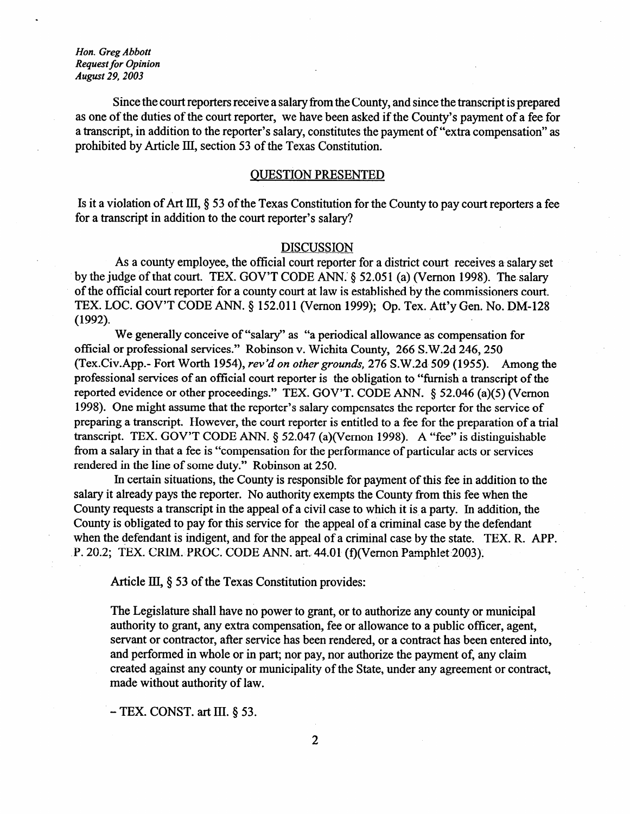*Hon. Greg Abbott Request for Opinion August 29,2003* 

Since the court reporters receive a salary from the County, and since the transcript is prepared as one of the duties of the court reporter, we have been asked if the County's payment of a fee for a transcript, in addition to the reporter's salary, constitutes the payment of "extra compensation" as prohibited by Article III, section 53 of the Texas Constitution.

## QUESTION PRESENTED

Is it a violation of Art III,  $\S$  53 of the Texas Constitution for the County to pay court reporters a fee for a transcript in addition to the court reporter's salary?

#### **DISCUSSION**

As a county employee, the official court reporter for a district court receives a salary set by the judge of that court. TEX. GOV'T CODE ANN. § 52.051 (a) (Vernon 1998). The salary of the official court reporter for a county court at law is established by the commissioners court. TEX. LOC. GOV'T CODE ANN. 9 152.011 (Vernon 1999); Op. Tex. Att'y Gen. No. DM-128 (1992).

We generally conceive of "salary' as "a periodical allowance as compensation for official or professional services." Robinson v. Wichita County, 266 S.W.2d 246,250 (Tex.Civ.App.- Fort Worth 1954), *rev'd on other grounds, 276* S.W.2d 509 (1955). Among the professional services of an official court reporter is the obligation to "furnish a transcript of the reported evidence or other proceedings." TEX. GOV'T. CODE ANN.  $\S$  52.046 (a)(5) (Vernon 1998). One might assume that the reporter's salary compensates the reporter for the service of preparing a transcript. However, the court reporter is entitled to a fee for the preparation of a trial transcript. TEX. GOV'T CODE ANN.  $\S$  52.047 (a)(V emon 1998). A "fee" is distinguishable from a salary in that a fee is "compensation for the performance of particular acts or services rendered in the line of some duty." Robinson at 250.

In certain situations, the County is responsible for payment of this fee in addition to the salary it already pays the reporter. No authority exempts the County from this fee when the County requests a transcript in the appeal of a civil case to which it is a party. In addition, the County is obligated to pay for this service for the appeal of a criminal case by the defendant when the defendant is indigent, and for the appeal of a criminal case by the state. TEX. R. APP. P. 20.2; TEX. CRIM. PROC. CODE ANN. art. 44.01 (f) (Vernon Pamphlet 2003).

Article III,  $\S$  53 of the Texas Constitution provides:

The Legislature shall have no power to grant, or to authorize any county or municipal authority to grant, any extra compensation, fee or allowance to a public officer, agent, servant or contractor, after service has been rendered, or a contract has been entered into, and performed in whole or in part; nor pay, nor authorize the payment of, any claim created against any county or municipality of the State, under any agreement or contract, made without authority of law.

 $-$  TEX. CONST. art III. § 53.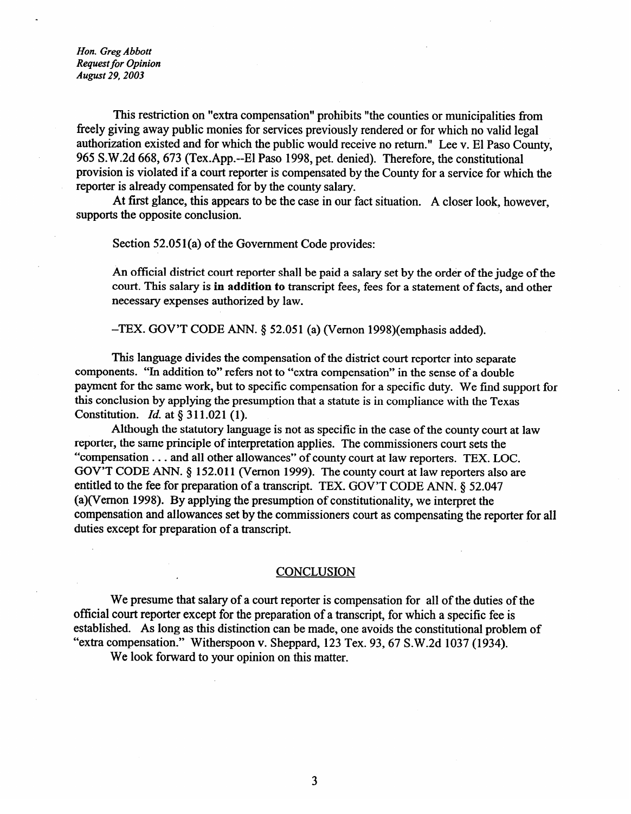*Hon. Greg Abbott Request for Opinion August 29,2003* 

This restriction on "extra compensation" prohibits "the counties or municipalities from Freely giving away public monies for services previously rendered or for which no valid legal authorization existed and for which the public would receive no return." Lee v. El Paso County, 965 S.W.2d 668,673 (Tex.App.--El Paso 1998, pet. denied). Therefore, the constitutional provision is violated if a court reporter is compensated by the County for a service for which the reporter is already compensated for by the county salary.

At first glance, this appears to be the case in our fact situation. A closer look, however, supports the opposite conclusion.

Section  $52.051(a)$  of the Government Code provides:

An official district court reporter shall be paid a salary set by the order of the judge of the **court.** This salary is **in addition to** transcript fees, fees for a statement of facts, and other necessary expenses authorized by law.

 $-$ TEX. GOV'T CODE ANN. § 52.051 (a) (Vernon 1998)(emphasis added).

This language divides the compensation of the district court reporter into separate components. "In addition to" refers not to "extra compensation" in the sense of a double payment for the same work, but to specific compensation for a specific duty. We find support for payment for the same work, but to specific compensation for a specific duty. We find support for this conclusion by applying the presumption that a statute is in compliance with the Texas Constitution. *Id.* at § 311.021 (1).<br>Although the statutory language is not as specific in the case of the county court at law

reporter, the same principle of interpretation applies. The commissioners court sets the "compensation . . . and all other allowances" of county court at law reporters. TEX. LOC.  $GOV'T CODE ANN. § 152.011 (Vernon 1999).$  The county court at law reporters also are entitled to the fee for preparation of a transcript. TEX. GOV'T CODE ANN. § 52.047 (a) (Vernon 1998). By applying the presumption of constitutionality, we interpret the compensation and allowances set by the commissioners court as compensating the reporter for all duties except for preparation of a transcript. duties except for preparation of a transcript.

#### **CONCLUSION** Concerned to the conclusion of the conclusion of the conclusion of the conclusion of the conclusion of the conclusion of the conclusion of the conclusion of the conclusion of the conclusion of the conclusion of the conclus

We presume that salary of a court reporter is compensation for all of the duties of the official court reporter except for the preparation of a transcript, for which a specific fee is established. As long as this distinction can be made, one avoids the constitutional problem of "extra compensation." Witherspoon v. Sheppard, 123 Tex. 93, 67 S.W.2d 1037 (1934).

We look forward to your opinion on this matter.